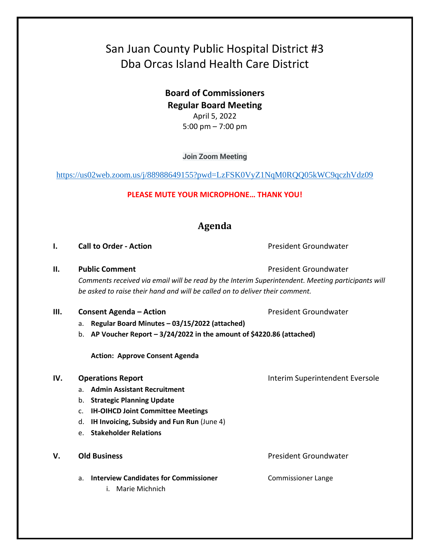# San Juan County Public Hospital District #3 Dba Orcas Island Health Care District

**Board of Commissioners Regular Board Meeting**  April 5, 2022 5:00 pm – 7:00 pm

**Join Zoom Meeting**

<https://us02web.zoom.us/j/88988649155?pwd=LzFSK0VyZ1NqM0RQQ05kWC9qczhVdz09>

### **PLEASE MUTE YOUR MICROPHONE… THANK YOU!**

# **Agenda**

**I. Call to Order - Action Call to Order - Action President Groundwater** 

**II. Public Comment President Groundwater President Groundwater** 

*Comments received via email will be read by the Interim Superintendent. Meeting participants will be asked to raise their hand and will be called on to deliver their comment.*

- **III. Consent Agenda Action President Groundwater** 
	- a. **Regular Board Minutes – 03/15/2022 (attached)**
	- b. **AP Voucher Report – 3/24/2022 in the amount of \$4220.86 (attached)**

**Action: Approve Consent Agenda**

#### **IV. Operations Report IV. Operations Report INTER**

- a. **Admin Assistant Recruitment**
- b. **Strategic Planning Update**
- c. **IH-OIHCD Joint Committee Meetings**
- d. **IH Invoicing, Subsidy and Fun Run** (June 4)
- e. **Stakeholder Relations**
- - a. **Interview Candidates for Commissioner** Commissioner Lange
		- i. Marie Michnich

**V. Old Business President Groundwater President Groundwater**